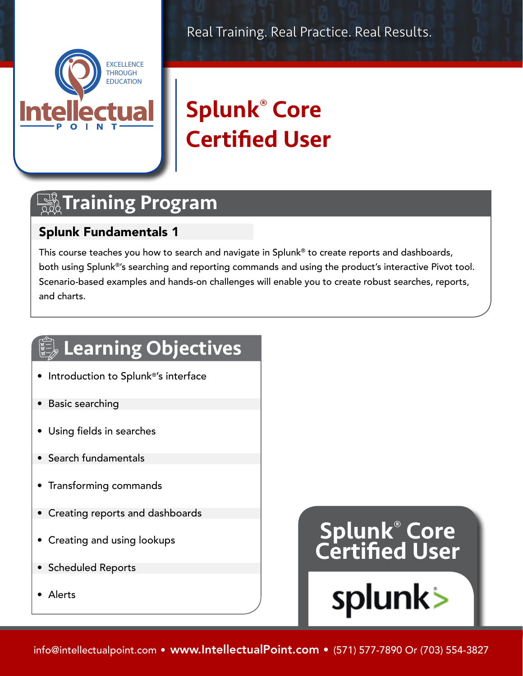



# Splunk® Core Certified User

## **The Training Program**

#### Splunk Fundamentals 1

This course teaches you how to search and navigate in Splunk® to create reports and dashboards, both using Splunk®'s searching and reporting commands and using the product's interactive Pivot tool. Scenario-based examples and hands-on challenges will enable you to create robust searches, reports, and charts.

## **Learning Objectives**

- Introduction to Splunk®'s interface
- Basic searching
- Using fields in searches
- Search fundamentals
- Transforming commands
- Creating reports and dashboards
- Creating and using lookups
- Scheduled Reports
- Alerts